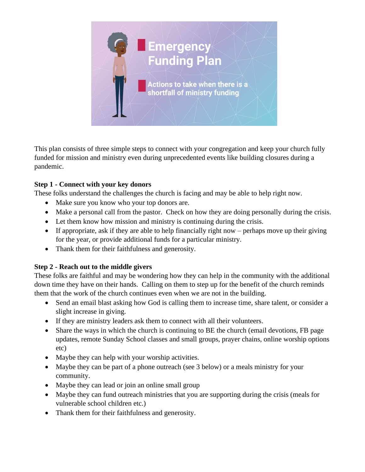

This plan consists of three simple steps to connect with your congregation and keep your church fully funded for mission and ministry even during unprecedented events like building closures during a pandemic.

## **Step 1 - Connect with your key donors**

These folks understand the challenges the church is facing and may be able to help right now.

- Make sure you know who your top donors are.
- Make a personal call from the pastor. Check on how they are doing personally during the crisis.
- Let them know how mission and ministry is continuing during the crisis.
- If appropriate, ask if they are able to help financially right now perhaps move up their giving for the year, or provide additional funds for a particular ministry.
- Thank them for their faithfulness and generosity.

## **Step 2 - Reach out to the middle givers**

These folks are faithful and may be wondering how they can help in the community with the additional down time they have on their hands. Calling on them to step up for the benefit of the church reminds them that the work of the church continues even when we are not in the building.

- Send an email blast asking how God is calling them to increase time, share talent, or consider a slight increase in giving.
- If they are ministry leaders ask them to connect with all their volunteers.
- Share the ways in which the church is continuing to BE the church (email devotions, FB page updates, remote Sunday School classes and small groups, prayer chains, online worship options etc)
- Maybe they can help with your worship activities.
- Maybe they can be part of a phone outreach (see 3 below) or a meals ministry for your community.
- Maybe they can lead or join an online small group
- Maybe they can fund outreach ministries that you are supporting during the crisis (meals for vulnerable school children etc.)
- Thank them for their faithfulness and generosity.